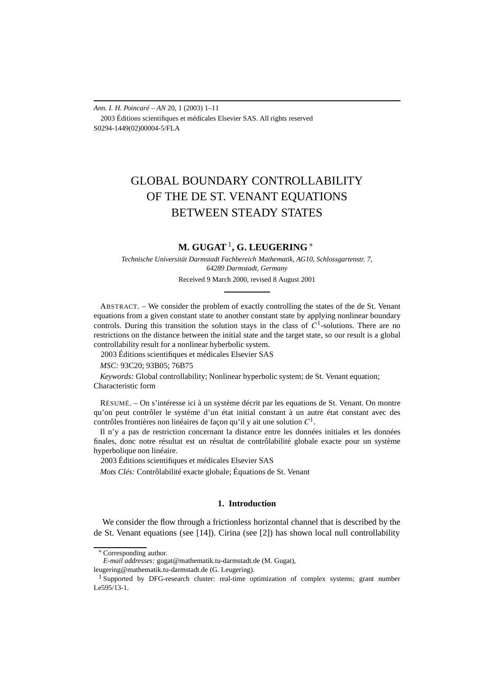*Ann. I. H. Poincaré – AN* 20, 1 (2003) 1–11 2003 Éditions scientifiques et médicales Elsevier SAS. All rights reserved S0294-1449(02)00004-5/FLA

# GLOBAL BOUNDARY CONTROLLABILITY OF THE DE ST. VENANT EQUATIONS BETWEEN STEADY STATES

# **M. GUGAT**1**, G. LEUGERING** <sup>∗</sup>

*Technische Universität Darmstadt Fachbereich Mathematik, AG10, Schlossgartenstr. 7, 64289 Darmstadt, Germany*

Received 9 March 2000, revised 8 August 2001

ABSTRACT. – We consider the problem of exactly controlling the states of the de St. Venant equations from a given constant state to another constant state by applying nonlinear boundary controls. During this transition the solution stays in the class of  $C<sup>1</sup>$ -solutions. There are no restrictions on the distance between the initial state and the target state, so our result is a global controllability result for a nonlinear hyberbolic system.

2003 Éditions scientifiques et médicales Elsevier SAS

*MSC:* 93C20; 93B05; 76B75

*Keywords:* Global controllability; Nonlinear hyperbolic system; de St. Venant equation; Characteristic form

RÉSUMÉ. – On s'intéresse ici à un système décrit par les equations de St. Venant. On montre qu'on peut contrôler le système d'un état initial constant à un autre état constant avec des contrôles frontières non linéaires de façon qu'il y ait une solution *C*1.

Il n'y a pas de restriction concernant la distance entre les données initiales et les données finales, donc notre résultat est un résultat de contrôlabilité globale exacte pour un système hyperbolique non linéaire.

2003 Éditions scientifiques et médicales Elsevier SAS

*Mots Clés:* Contrôlabilité exacte globale; Équations de St. Venant

# **1. Introduction**

We consider the flow through a frictionless horizontal channel that is described by the de St. Venant equations (see [14]). Cirina (see [2]) has shown local null controllability

<sup>∗</sup> Corresponding author.

*E-mail addresses:* gugat@mathematik.tu-darmstadt.de (M. Gugat),

leugering@mathematik.tu-darmstadt.de (G. Leugering).

<sup>&</sup>lt;sup>1</sup> Supported by DFG-research cluster: real-time optimization of complex systems; grant number Le595/13-1.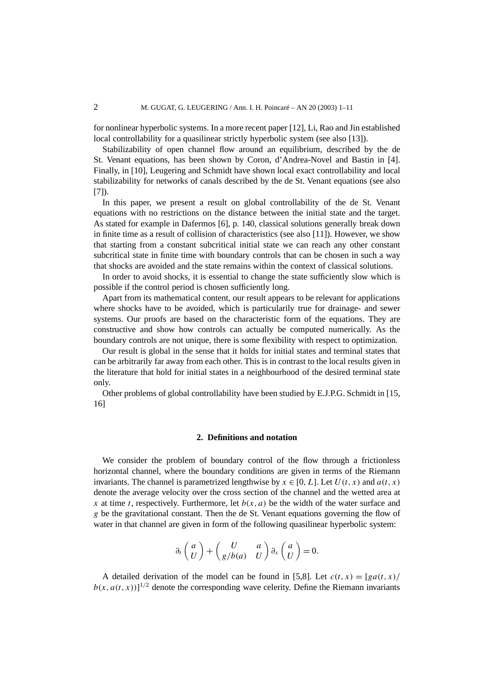for nonlinear hyperbolic systems. In a more recent paper [12], Li, Rao and Jin established local controllability for a quasilinear strictly hyperbolic system (see also [13]).

Stabilizability of open channel flow around an equilibrium, described by the de St. Venant equations, has been shown by Coron, d'Andrea-Novel and Bastin in [4]. Finally, in [10], Leugering and Schmidt have shown local exact controllability and local stabilizability for networks of canals described by the de St. Venant equations (see also [7]).

In this paper, we present a result on global controllability of the de St. Venant equations with no restrictions on the distance between the initial state and the target. As stated for example in Dafermos [6], p. 140, classical solutions generally break down in finite time as a result of collision of characteristics (see also [11]). However, we show that starting from a constant subcritical initial state we can reach any other constant subcritical state in finite time with boundary controls that can be chosen in such a way that shocks are avoided and the state remains within the context of classical solutions.

In order to avoid shocks, it is essential to change the state sufficiently slow which is possible if the control period is chosen sufficiently long.

Apart from its mathematical content, our result appears to be relevant for applications where shocks have to be avoided, which is particularily true for drainage- and sewer systems. Our proofs are based on the characteristic form of the equations. They are constructive and show how controls can actually be computed numerically. As the boundary controls are not unique, there is some flexibility with respect to optimization.

Our result is global in the sense that it holds for initial states and terminal states that can be arbitrarily far away from each other. This is in contrast to the local results given in the literature that hold for initial states in a neighbourhood of the desired terminal state only.

Other problems of global controllability have been studied by E.J.P.G. Schmidt in [15, 16]

### **2. Definitions and notation**

We consider the problem of boundary control of the flow through a frictionless horizontal channel, where the boundary conditions are given in terms of the Riemann invariants. The channel is parametrized lengthwise by  $x \in [0, L]$ . Let  $U(t, x)$  and  $a(t, x)$ denote the average velocity over the cross section of the channel and the wetted area at *x* at time *t*, respectively. Furthermore, let  $b(x, a)$  be the width of the water surface and *g* be the gravitational constant. Then the de St. Venant equations governing the flow of water in that channel are given in form of the following quasilinear hyperbolic system:

$$
\partial_t \begin{pmatrix} a \\ U \end{pmatrix} + \begin{pmatrix} U & a \\ g/b(a) & U \end{pmatrix} \partial_x \begin{pmatrix} a \\ U \end{pmatrix} = 0.
$$

A detailed derivation of the model can be found in [5,8]. Let  $c(t, x) = \frac{g a(t, x)}{ }$  $b(x, a(t, x))$ <sup>1/2</sup> denote the corresponding wave celerity. Define the Riemann invariants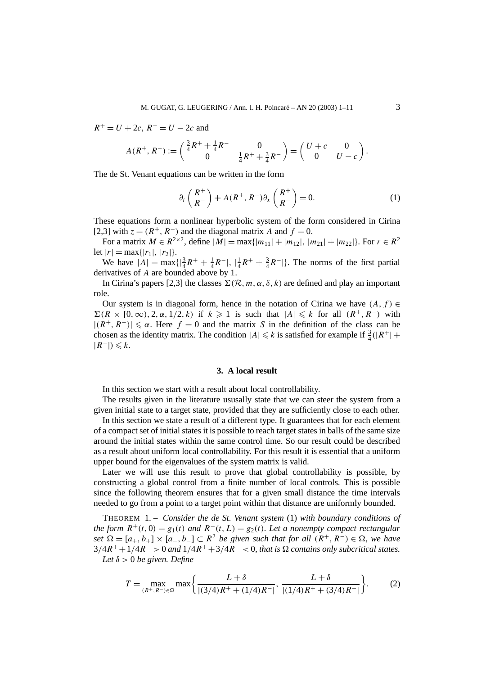$R^+ = U + 2c$ ,  $R^- = U - 2c$  and

$$
A(R^+, R^-) := \begin{pmatrix} \frac{3}{4}R^+ + \frac{1}{4}R^- & 0\\ 0 & \frac{1}{4}R^+ + \frac{3}{4}R^- \end{pmatrix} = \begin{pmatrix} U+c & 0\\ 0 & U-c \end{pmatrix}
$$

The de St. Venant equations can be written in the form

$$
\partial_t \begin{pmatrix} R^+ \\ R^- \end{pmatrix} + A(R^+, R^-) \partial_x \begin{pmatrix} R^+ \\ R^- \end{pmatrix} = 0.
$$
 (1)

These equations form a nonlinear hyperbolic system of the form considered in Cirina [2,3] with  $z = (R^+, R^-)$  and the diagonal matrix *A* and  $f = 0$ .

For a matrix *M* ∈  $R^{2\times2}$ , define  $|M| = \max\{|m_{11}| + |m_{12}|, |m_{21}| + |m_{22}|\}$ . For  $r \in R^2$ let  $|r| = \max\{|r_1|, |r_2|\}.$ 

We have  $|A| = \max\{|\frac{3}{4}R^+ + \frac{1}{4}R^-|, |\frac{1}{4}R^+ + \frac{3}{4}R^-|\}$ . The norms of the first partial derivatives of *A* are bounded above by 1.

In Cirina's papers [2,3] the classes  $\Sigma(\mathcal{R}, m, \alpha, \delta, k)$  are defined and play an important role.

Our system is in diagonal form, hence in the notation of Cirina we have  $(A, f) \in$  $\sum (R \times [0, \infty), 2, \alpha, 1/2, k)$  if  $k \ge 1$  is such that  $|A| \le k$  for all  $(R^+, R^-)$  with  $|(R^+, R^-)| \le \alpha$ . Here  $f = 0$  and the matrix *S* in the definition of the class can be chosen as the identity matrix. The condition  $|A| \le k$  is satisfied for example if  $\frac{3}{4}(|R^+| +$  $|R^-|$ ) ≤ k.

# **3. A local result**

In this section we start with a result about local controllability.

The results given in the literature ususally state that we can steer the system from a given initial state to a target state, provided that they are sufficiently close to each other.

In this section we state a result of a different type. It guarantees that for each element of a compact set of initial states it is possible to reach target states in balls of the same size around the initial states within the same control time. So our result could be described as a result about uniform local controllability. For this result it is essential that a uniform upper bound for the eigenvalues of the system matrix is valid.

Later we will use this result to prove that global controllability is possible, by constructing a global control from a finite number of local controls. This is possible since the following theorem ensures that for a given small distance the time intervals needed to go from a point to a target point within that distance are uniformly bounded.

THEOREM 1. – *Consider the de St. Venant system* (1) *with boundary conditions of the form*  $R^+(t, 0) = g_1(t)$  *and*  $R^-(t, L) = g_2(t)$ *. Let a nonempty compact rectangular*  $\mathcal{L}$  *set*  $\Omega = [a_+, b_+] \times [a_-, b_-] \subset R^2$  *be given such that for all*  $(R^+, R^-) \in \Omega$ *, we have*  $3/4R^+ + 1/4R^- > 0$  and  $1/4R^+ + 3/4R^- < 0$ , that is  $\Omega$  contains only subcritical states. *Let δ >* 0 *be given. Define*

$$
T = \max_{(R^+, R^-) \in \Omega} \max \left\{ \frac{L + \delta}{|(3/4)R^+ + (1/4)R^-|}, \frac{L + \delta}{|(1/4)R^+ + (3/4)R^-|} \right\}.
$$
 (2)

*.*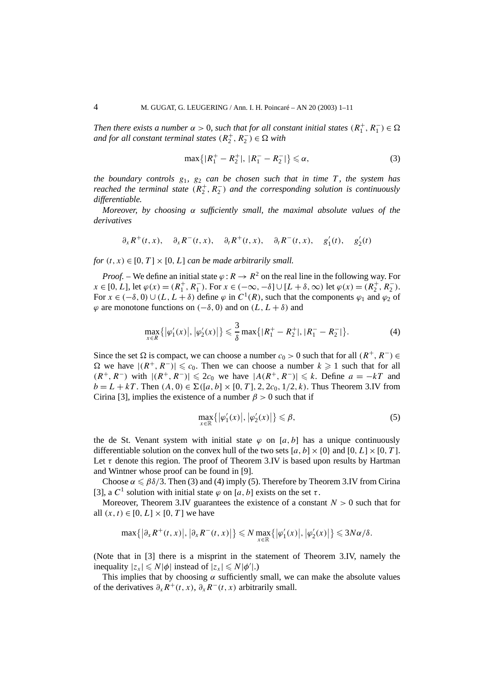*Then there exists a number*  $\alpha > 0$ , such that for all constant initial states  $(R_1^+, R_1^-) \in \Omega$ *and for all constant terminal states*  $(R_2^+, R_2^-) \in \Omega$  *with* 

$$
\max\{|R_1^+ - R_2^+|, |R_1^- - R_2^-|\} \leq \alpha,\tag{3}
$$

*the boundary controls*  $g_1$ ,  $g_2$  *can be chosen such that in time*  $T$ *, the system has reached the terminal state* ( $R_2^+$ ,  $R_2^-$ ) *and the corresponding solution is continuously differentiable.*

*Moreover, by choosing α sufficiently small, the maximal absolute values of the derivatives*

$$
\partial_x R^+(t, x), \quad \partial_x R^-(t, x), \quad \partial_t R^+(t, x), \quad \partial_t R^-(t, x), \quad g'_1(t), \quad g'_2(t)
$$

*for*  $(t, x) \in [0, T] \times [0, L]$  *can be made arbitrarily small.* 

*Proof.* – We define an initial state  $\varphi$  :  $R \to R^2$  on the real line in the following way. For  $x \in [0, L]$ , let  $\varphi(x) = (R_1^+, R_1^-)$ . For  $x \in (-\infty, -\delta] \cup [L + \delta, \infty)$  let  $\varphi(x) = (R_2^+, R_2^-)$ . For  $x \in (-\delta, 0) \cup (L, L + \delta)$  define  $\varphi$  in  $C^1(R)$ , such that the components  $\varphi_1$  and  $\varphi_2$  of  $\varphi$  are monotone functions on  $(-\delta, 0)$  and on  $(L, L + \delta)$  and

$$
\max_{x \in R} \{ |\varphi_1'(x)|, |\varphi_2'(x)| \} \leq \frac{3}{\delta} \max \{ |R_1^+ - R_2^+|, |R_1^- - R_2^-| \}.
$$
 (4)

Since the set  $\Omega$  is compact, we can choose a number  $c_0 > 0$  such that for all  $(R^+, R^-) \in$  $Ω$  we have  $|(R^+, R^-)| \le c_0$ . Then we can choose a number  $k ≥ 1$  such that for all *(R<sup>+</sup>, R<sup>−</sup>)* with  $|(R^+, R^-)| \le 2c_0$  we have  $|A(R^+, R^-)| \le k$ . Define  $a = -kT$  and  $b = L + kT$ . Then  $(A, 0) \in \Sigma([a, b] \times [0, T], 2, 2c_0, 1/2, k)$ . Thus Theorem 3.IV from Cirina [3], implies the existence of a number  $\beta > 0$  such that if

$$
\max_{x \in \mathbb{R}} \{ |\varphi_1'(x)|, |\varphi_2'(x)| \} \leq \beta,
$$
\n(5)

the de St. Venant system with initial state  $\varphi$  on [ $a, b$ ] has a unique continuously differentiable solution on the convex hull of the two sets  $[a, b] \times \{0\}$  and  $[0, L] \times [0, T]$ . Let  $\tau$  denote this region. The proof of Theorem 3.IV is based upon results by Hartman and Wintner whose proof can be found in [9].

Choose  $\alpha \leq \beta \delta/3$ . Then (3) and (4) imply (5). Therefore by Theorem 3.IV from Cirina [3], a  $C^1$  solution with initial state  $\varphi$  on  $[a, b]$  exists on the set  $\tau$ .

Moreover, Theorem 3.IV guarantees the existence of a constant  $N > 0$  such that for all  $(x, t) \in [0, L] \times [0, T]$  we have

$$
\max\{|\partial_x R^+(t,x)|, |\partial_x R^-(t,x)|\} \leq N \max_{x \in \mathbb{R}}\{|\varphi'_1(x)|, |\varphi'_2(x)|\} \leq 3N\alpha/\delta.
$$

(Note that in [3] there is a misprint in the statement of Theorem 3.IV, namely the inequality  $|z_x| \le N |\phi|$  instead of  $|z_x| \le N |\phi'|$ .)

This implies that by choosing  $\alpha$  sufficiently small, we can make the absolute values of the derivatives  $\partial_x R^+(t, x)$ ,  $\partial_x R^-(t, x)$  arbitrarily small.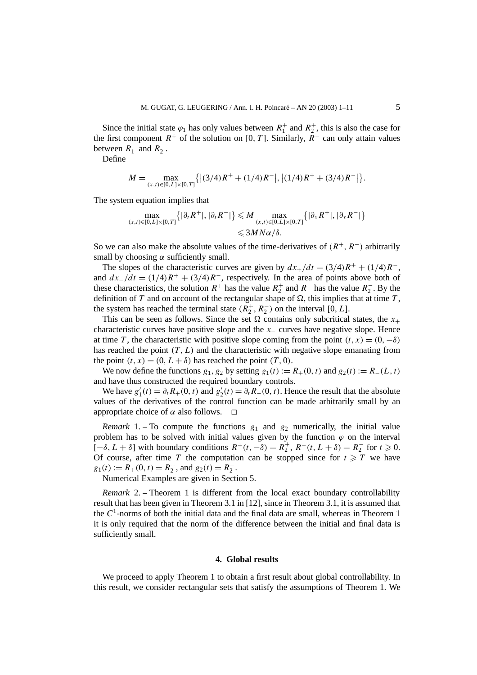Since the initial state  $\varphi_1$  has only values between  $R_1^+$  and  $R_2^+$ , this is also the case for the first component  $R^+$  of the solution on [0, T]. Similarly,  $R^-$  can only attain values between  $R_1^-$  and  $R_2^-$ .

Define

$$
M = \max_{(x,t)\in[0,L]\times[0,T]} \{ |(3/4)R^+ + (1/4)R^-|, |(1/4)R^+ + (3/4)R^-| \}.
$$

The system equation implies that

$$
\max_{(x,t)\in[0,L]\times[0,T]}\left\{|\partial_t R^+|,|\partial_t R^-|\right\} \leq M \max_{(x,t)\in[0,L]\times[0,T]}\left\{|\partial_x R^+|,|\partial_x R^-|\right\}
$$
  

$$
\leq 3MN\alpha/\delta.
$$

So we can also make the absolute values of the time-derivatives of  $(R^+, R^-)$  arbitrarily small by choosing  $\alpha$  sufficiently small.

The slopes of the characteristic curves are given by  $dx_+/dt = (3/4)R^+ + (1/4)R^-$ , and  $dx_+/dt = (1/4)R^+ + (3/4)R^-$ , respectively. In the area of points above both of these characteristics, the solution  $R^+$  has the value  $R_2^+$  and  $R^-$  has the value  $R_2^-$ . By the definition of *T* and on account of the rectangular shape of  $\Omega$ , this implies that at time *T*, the system has reached the terminal state  $(R_2^+, R_2^-)$  on the interval [0*, L*].

This can be seen as follows. Since the set  $\Omega$  contains only subcritical states, the  $x_+$ characteristic curves have positive slope and the *x*<sup>−</sup> curves have negative slope. Hence at time *T*, the characteristic with positive slope coming from the point  $(t, x) = (0, -\delta)$ has reached the point  $(T, L)$  and the characteristic with negative slope emanating from the point  $(t, x) = (0, L + \delta)$  has reached the point  $(T, 0)$ .

We now define the functions  $g_1, g_2$  by setting  $g_1(t) := R_+(0, t)$  and  $g_2(t) := R_-(L, t)$ and have thus constructed the required boundary controls.

We have  $g'_1(t) = \partial_t R_+(0, t)$  and  $g'_2(t) = \partial_t R_-(0, t)$ . Hence the result that the absolute values of the derivatives of the control function can be made arbitrarily small by an appropriate choice of  $\alpha$  also follows.  $\Box$ 

*Remark* 1. – To compute the functions  $g_1$  and  $g_2$  numerically, the initial value problem has to be solved with initial values given by the function  $\varphi$  on the interval  $[-\delta, L + \delta]$  with boundary conditions  $R^+(t, -\delta) = R_2^+, R^-(t, L + \delta) = R_2^-$  for  $t \ge 0$ . Of course, after time *T* the computation can be stopped since for  $t \geq T$  we have  $g_1(t) := R_+(0, t) = R_2^+$ , and  $g_2(t) = R_2^-$ .

Numerical Examples are given in Section 5.

*Remark* 2. – Theorem 1 is different from the local exact boundary controllability result that has been given in Theorem 3.1 in [12], since in Theorem 3.1, it is assumed that the  $C<sup>1</sup>$ -norms of both the initial data and the final data are small, whereas in Theorem 1 it is only required that the norm of the difference between the initial and final data is sufficiently small.

#### **4. Global results**

We proceed to apply Theorem 1 to obtain a first result about global controllability. In this result, we consider rectangular sets that satisfy the assumptions of Theorem 1. We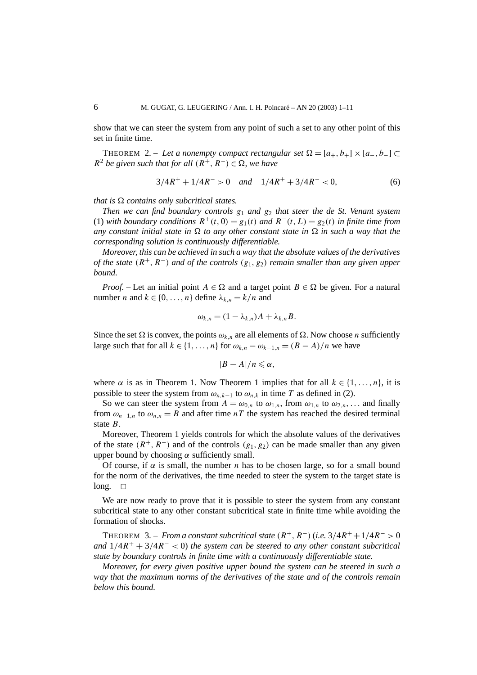show that we can steer the system from any point of such a set to any other point of this set in finite time.

THEOREM 2. – Let a nonempty compact rectangular set  $\Omega = [a_+, b_+] \times [a_-, b_-] \subset$  $R^2$  *be given such that for all*  $(R^+, R^-) \in \Omega$ , we have

$$
3/4R^+ + 1/4R^- > 0 \quad and \quad 1/4R^+ + 3/4R^- < 0,\tag{6}
$$

*that is*  $\Omega$  *contains only subcritical states.* 

*Then we can find boundary controls g*<sup>1</sup> *and g*<sup>2</sup> *that steer the de St. Venant system* (1) *with boundary conditions*  $R^+(t, 0) = g_1(t)$  *and*  $R^-(t, L) = g_2(t)$  *in finite time from any constant initial state in*  $\Omega$  *to any other constant state in*  $\Omega$  *in such a way that the corresponding solution is continuously differentiable.*

*Moreover, this can be achieved in such a way that the absolute values of the derivatives of the state (R*<sup>+</sup>*, R*<sup>−</sup>*) and of the controls (g*1*, g*2*) remain smaller than any given upper bound.*

*Proof.* – Let an initial point  $A \in \Omega$  and a target point  $B \in \Omega$  be given. For a natural number *n* and  $k \in \{0, ..., n\}$  define  $\lambda_{k,n} = k/n$  and

$$
\omega_{k,n} = (1 - \lambda_{k,n})A + \lambda_{k,n}B.
$$

Since the set  $\Omega$  is convex, the points  $\omega_{k,n}$  are all elements of  $\Omega$ . Now choose *n* sufficiently large such that for all  $k \in \{1, ..., n\}$  for  $\omega_{k,n} - \omega_{k-1,n} = (B - A)/n$  we have

$$
|B-A|/n\leqslant \alpha,
$$

where  $\alpha$  is as in Theorem 1. Now Theorem 1 implies that for all  $k \in \{1, ..., n\}$ , it is possible to steer the system from  $\omega_{n,k-1}$  to  $\omega_{n,k}$  in time *T* as defined in (2).

So we can steer the system from  $A = \omega_{0,n}$  to  $\omega_{1,n}$ , from  $\omega_{1,n}$  to  $\omega_{2,n}$ ,... and finally from  $\omega_{n-1,n}$  to  $\omega_{n,n} = B$  and after time *nT* the system has reached the desired terminal state *B*.

Moreover, Theorem 1 yields controls for which the absolute values of the derivatives of the state  $(R^+, R^-)$  and of the controls  $(g_1, g_2)$  can be made smaller than any given upper bound by choosing  $\alpha$  sufficiently small.

Of course, if  $\alpha$  is small, the number *n* has to be chosen large, so for a small bound for the norm of the derivatives, the time needed to steer the system to the target state is  $long. \Box$ 

We are now ready to prove that it is possible to steer the system from any constant subcritical state to any other constant subcritical state in finite time while avoiding the formation of shocks.

THEOREM 3. – *From a constant subcritical state*  $(R^+, R^-)$  (*i.e.* 3/4 $R^+$  + 1/4 $R^-$  > 0 *and* 1*/*4*R*<sup>+</sup> + 3*/*4*R*<sup>−</sup> *<* 0) *the system can be steered to any other constant subcritical state by boundary controls in finite time with a continuously differentiable state.*

*Moreover, for every given positive upper bound the system can be steered in such a way that the maximum norms of the derivatives of the state and of the controls remain below this bound.*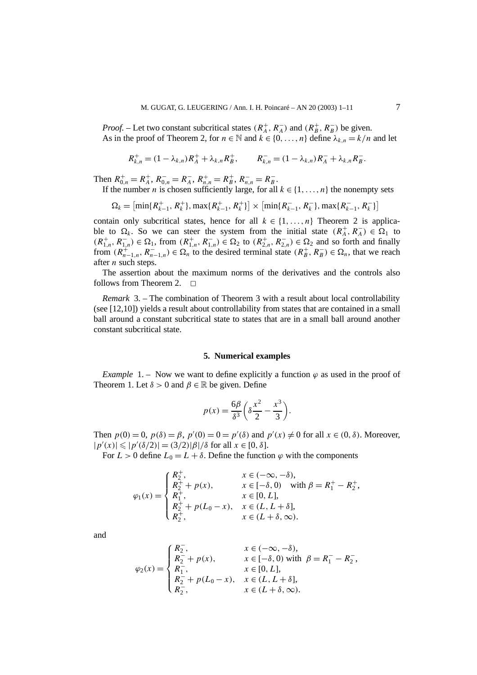*Proof.* – Let two constant subcritical states  $(R_A^+, R_A^-)$  and  $(R_B^+, R_B^-)$  be given. As in the proof of Theorem 2, for  $n \in \mathbb{N}$  and  $k \in \{0, ..., n\}$  define  $\lambda_{k,n} = k/n$  and let

$$
R_{k,n}^+ = (1 - \lambda_{k,n})R_A^+ + \lambda_{k,n}R_B^+, \qquad R_{k,n}^- = (1 - \lambda_{k,n})R_A^- + \lambda_{k,n}R_B^-.
$$

Then  $R_{0,n}^+ = R_A^+$ ,  $R_{0,n}^- = R_A^-$ ,  $R_{n,n}^+ = R_B^+$ ,  $R_{n,n}^- = R_B^-$ .

If the number *n* is chosen sufficiently large, for all  $k \in \{1, ..., n\}$  the nonempty sets

$$
\Omega_k = \left[ \min\{R_{k-1}^+, R_k^+\}, \max\{R_{k-1}^+, R_k^+\} \right] \times \left[ \min\{R_{k-1}^-, R_k^-\}, \max\{R_{k-1}^-, R_k^-\} \right]
$$

contain only subcritical states, hence for all  $k \in \{1, ..., n\}$  Theorem 2 is applicable to  $\Omega_k$ . So we can steer the system from the initial state  $(R_A^+, R_A^-) \in \Omega_1$  to  $(R_{1,n}^+, R_{1,n}^-)$  ∈  $\Omega_1$ , from  $(R_{1,n}^+, R_{1,n}^-)$  ∈  $\Omega_2$  to  $(R_{2,n}^+, R_{2,n}^-)$  ∈  $\Omega_2$  and so forth and finally from  $(R_{n-1,n}^+$ ,  $R_{n-1,n}^-$ )  $\in \Omega_n$  to the desired terminal state  $(R_B^+, R_B^-) \in \Omega_n$ , that we reach after *n* such steps.

The assertion about the maximum norms of the derivatives and the controls also follows from Theorem 2.  $\Box$ 

*Remark* 3. – The combination of Theorem 3 with a result about local controllability (see [12,10]) yields a result about controllability from states that are contained in a small ball around a constant subcritical state to states that are in a small ball around another constant subcritical state.

#### **5. Numerical examples**

*Example* 1. – Now we want to define explicitly a function  $\varphi$  as used in the proof of Theorem 1. Let  $\delta > 0$  and  $\beta \in \mathbb{R}$  be given. Define

$$
p(x) = \frac{6\beta}{\delta^3} \left( \delta \frac{x^2}{2} - \frac{x^3}{3} \right).
$$

Then  $p(0) = 0$ ,  $p(\delta) = \beta$ ,  $p'(0) = 0 = p'(\delta)$  and  $p'(x) \neq 0$  for all  $x \in (0, \delta)$ . Moreover,  $|p'(x)| \leq |p'(\delta/2)| = (3/2)|\beta|/\delta$  for all  $x \in [0, \delta]$ .

For  $L > 0$  define  $L_0 = L + \delta$ . Define the function  $\varphi$  with the components

$$
\varphi_1(x) = \begin{cases} R_2^+, & x \in (-\infty, -\delta), \\ R_2^+ + p(x), & x \in [-\delta, 0) \text{ with } \beta = R_1^+ - R_2^+, \\ R_1^+, & x \in [0, L], \\ R_2^+ + p(L_0 - x), & x \in (L, L + \delta], \\ R_2^+, & x \in (L + \delta, \infty). \end{cases}
$$

and

$$
\varphi_2(x) = \begin{cases} R_2^-, & x \in (-\infty, -\delta), \\ R_2^- + p(x), & x \in [-\delta, 0) \text{ with } \beta = R_1^- - R_2^-, \\ R_1^-, & x \in [0, L], \\ R_2^- + p(L_0 - x), & x \in (L, L + \delta], \\ R_2^-, & x \in (L + \delta, \infty). \end{cases}
$$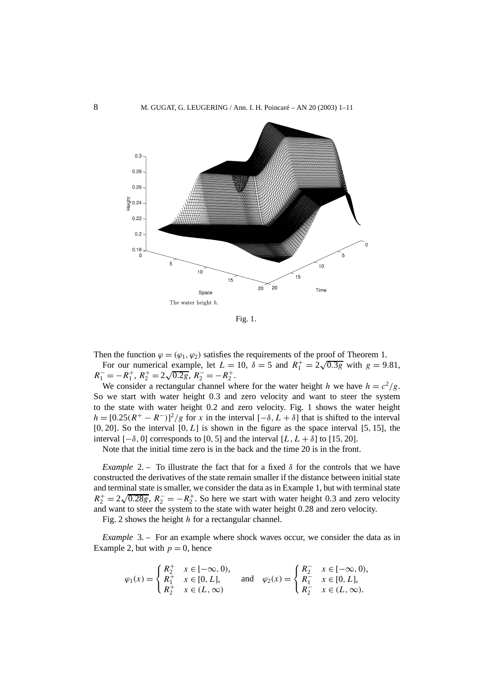

Fig. 1.

Then the function  $\varphi = (\varphi_1, \varphi_2)$  satisfies the requirements of the proof of Theorem 1.

For our numerical example, let  $L = 10$ ,  $\delta = 5$  and  $R_1^+ = 2\sqrt{0.3g}$  with  $g = 9.81$ , *R*<sup>-</sup><sub>1</sub> = −*R*<sup>+</sup><sub>1</sub>, *R*<sup>+</sup><sub>2</sub> = 2 $\sqrt{0.2g}$ , *R*<sub>2</sub><sup>−</sup> = −*R*<sup>+</sup><sub>2</sub>.

We consider a rectangular channel where for the water height *h* we have  $h = c^2/g$ . So we start with water height 0*.*3 and zero velocity and want to steer the system to the state with water height 0*.*2 and zero velocity. Fig. 1 shows the water height  $h = [0.25(R^+ - R^-)]^2/g$  for *x* in the interval  $[-\delta, L + \delta]$  that is shifted to the interval [0*,* 20]. So the interval [0*, L*] is shown in the figure as the space interval [5*,* 15], the interval  $[-\delta, 0]$  corresponds to [0, 5] and the interval  $[L, L + \delta]$  to [15, 20].

Note that the initial time zero is in the back and the time 20 is in the front.

*Example* 2. – To illustrate the fact that for a fixed  $\delta$  for the controls that we have constructed the derivatives of the state remain smaller if the distance between initial state and terminal state is smaller, we consider the data as in Example 1, but with terminal state and terminal state is smaller, we consider the data as in Example 1, out with terminal state<br> $R_2^+ = 2\sqrt{0.28g}$ ,  $R_2^- = -R_2^+$ . So here we start with water height 0.3 and zero velocity and want to steer the system to the state with water height 0*.*28 and zero velocity.

Fig. 2 shows the height *h* for a rectangular channel.

*Example* 3. – For an example where shock waves occur, we consider the data as in Example 2, but with  $p = 0$ , hence

$$
\varphi_1(x) = \begin{cases} R_2^+ & x \in [-\infty, 0), \\ R_1^+ & x \in [0, L], \\ R_2^+ & x \in (L, \infty) \end{cases} \text{ and } \varphi_2(x) = \begin{cases} R_2^- & x \in [-\infty, 0), \\ R_1^- & x \in [0, L], \\ R_2^- & x \in (L, \infty). \end{cases}
$$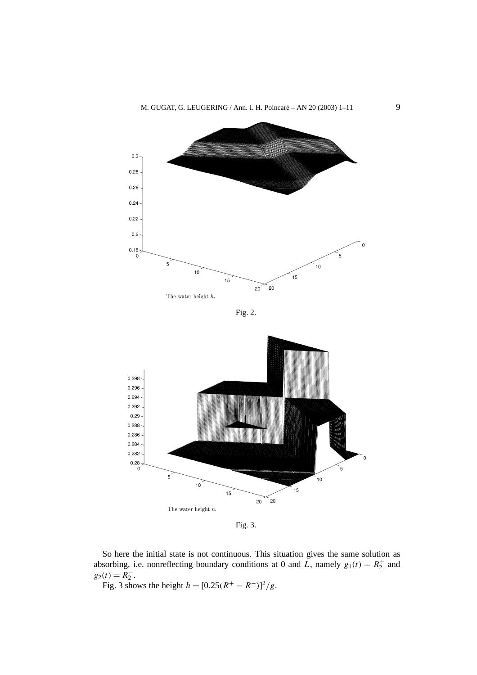

Fig. 2.



Fig. 3.

So here the initial state is not continuous. This situation gives the same solution as absorbing, i.e. nonreflecting boundary conditions at 0 and  $\overline{L}$ , namely  $g_1(t) = R_2^+$  and  $g_2(t) = R_2^-$ .

Fig. 3 shows the height  $h = [0.25(R^+ - R^-)]^2/g$ .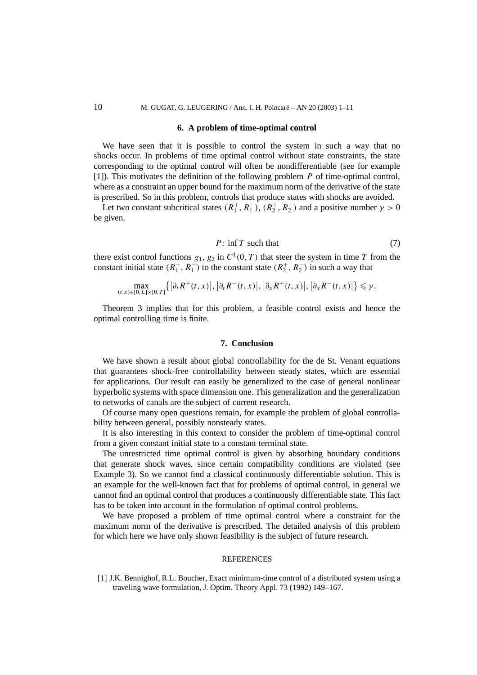#### **6. A problem of time-optimal control**

We have seen that it is possible to control the system in such a way that no shocks occur. In problems of time optimal control without state constraints, the state corresponding to the optimal control will often be nondifferentiable (see for example [1]). This motivates the definition of the following problem *P* of time-optimal control, where as a constraint an upper bound for the maximum norm of the derivative of the state is prescribed. So in this problem, controls that produce states with shocks are avoided.

Let two constant subcritical states  $(R_1^+, R_1^-)$ ,  $(R_2^+, R_2^-)$  and a positive number  $\gamma > 0$ be given.

$$
P: \inf T \text{ such that } \tag{7}
$$

there exist control functions  $g_1$ ,  $g_2$  in  $C^1(0, T)$  that steer the system in time *T* from the constant initial state  $(R_1^+, R_1^-)$  to the constant state  $(R_2^+, R_2^-)$  in such a way that

$$
\max_{(t,x)\in[0,L]\times[0,T]}\left\{\left|\partial_t R^+(t,x)\right|,\left|\partial_t R^-(t,x)\right|,\left|\partial_x R^+(t,x)\right|,\left|\partial_x R^-(t,x)\right|\right\}\leq \gamma.
$$

Theorem 3 implies that for this problem, a feasible control exists and hence the optimal controlling time is finite.

# **7. Conclusion**

We have shown a result about global controllability for the de St. Venant equations that guarantees shock-free controllability between steady states, which are essential for applications. Our result can easily be generalized to the case of general nonlinear hyperbolic systems with space dimension one. This generalization and the generalization to networks of canals are the subject of current research.

Of course many open questions remain, for example the problem of global controllability between general, possibly nonsteady states.

It is also interesting in this context to consider the problem of time-optimal control from a given constant initial state to a constant terminal state.

The unrestricted time optimal control is given by absorbing boundary conditions that generate shock waves, since certain compatibility conditions are violated (see Example 3). So we cannot find a classical continuously differentiable solution. This is an example for the well-known fact that for problems of optimal control, in general we cannot find an optimal control that produces a continuously differentiable state. This fact has to be taken into account in the formulation of optimal control problems.

We have proposed a problem of time optimal control where a constraint for the maximum norm of the derivative is prescribed. The detailed analysis of this problem for which here we have only shown feasibility is the subject of future research.

#### REFERENCES

<sup>[1]</sup> J.K. Bennighof, R.L. Boucher, Exact minimum-time control of a distributed system using a traveling wave formulation, J. Optim. Theory Appl. 73 (1992) 149–167.